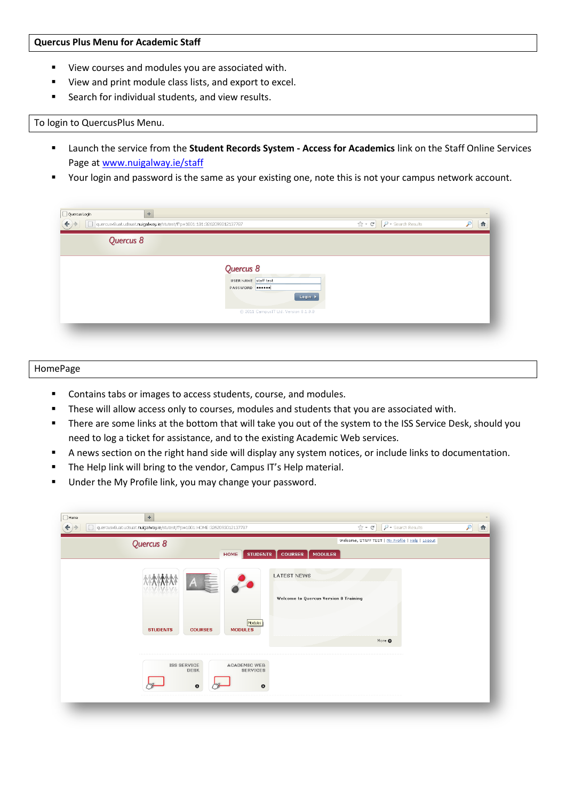## **Quercus Plus Menu for Academic Staff**

- View courses and modules you are associated with.
- View and print module class lists, and export to excel.
- **Search for individual students, and view results.**

## To login to QuercusPlus Menu.

- Launch the service from the **Student Records System - Access for Academics** link on the Staff Online Services Page a[t www.nuigalway.ie/staff](http://www.nuigalway.ie/staff)
- Your login and password is the same as your existing one, note this is not your campus network account.

| Quercus 8 |                                      |  |
|-----------|--------------------------------------|--|
|           | Quercus 8<br>USER NAME staff test    |  |
|           | PASSWORD <b>@DODDO</b><br>Login >    |  |
|           | @ 2011 CampusIT Ltd. Version 8.1.0.0 |  |

## HomePage

- **Contains tabs or images to access students, course, and modules.**
- These will allow access only to courses, modules and students that you are associated with.
- There are some links at the bottom that will take you out of the system to the ISS Service Desk, should you need to log a ticket for assistance, and to the existing Academic Web services.
- A news section on the right hand side will display any system notices, or include links to documentation.
- **The Help link will bring to the vendor, Campus IT's Help material.**
- **Under the My Profile link, you may change your password.**

| $\Box$ Home<br>$\pm$<br>$\Box$<br>quercusv8uat.udsuat.nuigalway.ie/stutest/f?p=1001:HOME:3262093012137787 | $\begin{array}{c} \hline \end{array}$<br>$\mathcal{P}$<br>☆ · C'<br>$\rho$ + Search Results |
|-----------------------------------------------------------------------------------------------------------|---------------------------------------------------------------------------------------------|
| Quercus 8<br><b>STUDENTS</b><br><b>COURSES</b><br>HOME                                                    | Welcome, STAFF TEST   My Profile   Help   Logout<br><b>MODULES</b>                          |
| <b>LATEST NEWS</b><br>$A \equiv$<br>$\Lambda$                                                             | Welcome to Quercus Version 8 Training                                                       |
| Modules<br><b>STUDENTS</b><br><b>COURSES</b><br><b>MODULES</b>                                            | More O                                                                                      |
| <b>ISS SERVICE</b><br>ACADEMIC WEB<br><b>SERVICES</b><br><b>DESK</b><br>$\bullet$<br>$\bullet$            |                                                                                             |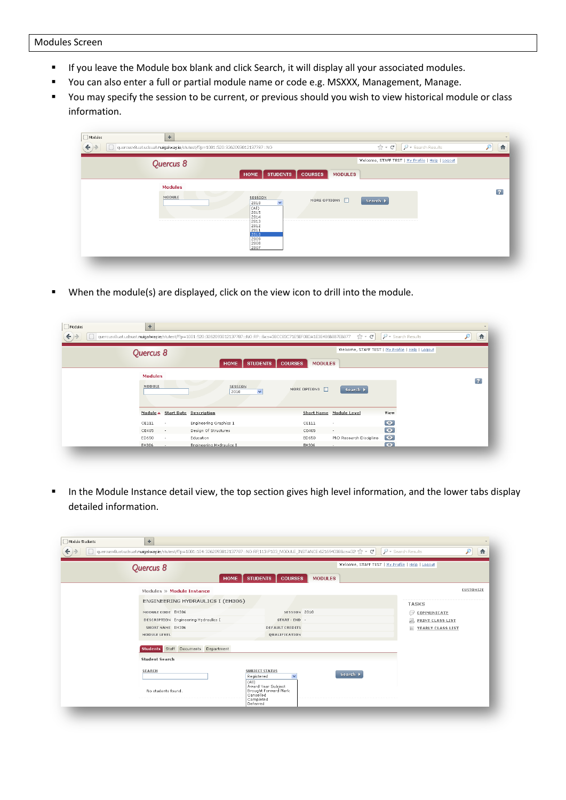- **If you leave the Module box blank and click Search, it will display all your associated modules.**
- You can also enter a full or partial module name or code e.g. MSXXX, Management, Manage.
- You may specify the session to be current, or previous should you wish to view historical module or class information.

| $\Box$ Modules<br>← | $\div$<br>quercusv8uat.udsuat.nuigalway.ie/stutest/f?p=1001:520:3262093012137787::NO |                                                                                                          |                                  | $\hat{C}$ + $C$ <sup>1</sup>                     | $\rho$ + Search Results | 合<br>₽         |
|---------------------|--------------------------------------------------------------------------------------|----------------------------------------------------------------------------------------------------------|----------------------------------|--------------------------------------------------|-------------------------|----------------|
|                     | Quercus 8                                                                            | <b>STUDENTS</b><br><b>HOME</b>                                                                           | <b>COURSES</b><br><b>MODULES</b> | Welcome, STAFF TEST   My Profile   Help   Logout |                         |                |
|                     | <b>Modules</b><br>MODULE                                                             | SESSION<br>$\checkmark$<br>2010<br>(A  )<br>2015<br>2014<br>2013<br>2012<br>2011<br>2010<br>2009<br>2008 | MORE OPTIONS <b>D</b>            | Search >                                         |                         | $\overline{?}$ |

When the module(s) are displayed, click on the view icon to drill into the module.

| u |                 | quercusv8uat.udsuat.nuigalway.ie/stutest/f?p=1001:520:3262093012137787::NO:RP::8cs=38CC83C71E5EF08DA1E3E486B8B7EB877 |                                  | $\mathbb{R}$ + $\mathbb{C}$ | $\rho$ + Search Results                          | 合              |
|---|-----------------|----------------------------------------------------------------------------------------------------------------------|----------------------------------|-----------------------------|--------------------------------------------------|----------------|
|   | Quercus 8       |                                                                                                                      |                                  |                             | Welcome, STAFF TEST   My Profile   Help   Logout |                |
|   |                 | <b>STUDENTS</b><br><b>HOME</b>                                                                                       | <b>COURSES</b><br><b>MODULES</b> |                             |                                                  |                |
|   | <b>Modules</b>  |                                                                                                                      |                                  |                             |                                                  |                |
|   | MODULE          | <b>SESSION</b><br>2010<br>$\ddot{\phantom{1}}$                                                                       | MORE OPTIONS $\Box$              | Search >                    |                                                  | $\overline{r}$ |
|   |                 | Module ▲ Start Date Description                                                                                      |                                  | Short Name Module Level     | View                                             |                |
|   | CE111<br>٠      | Engineering Graphics 1                                                                                               | CE111                            | $\sim$                      | $\bullet$                                        |                |
|   | CE405<br>$\sim$ | Design Of Structures                                                                                                 | CE405                            | ٠                           | $\bullet$                                        |                |
|   | ED650<br>$\sim$ | Education                                                                                                            | ED650                            | PhD Research Discipline     | $\bullet$                                        |                |
|   | EH306<br>$\sim$ | Engineering Hydraulics I.                                                                                            | EH306                            | ٠                           | $\bullet$                                        |                |

In the Module Instance detail view, the top section gives high level information, and the lower tabs display detailed information.

| Quercus 8<br><b>HOME</b>                                               | <b>STUDENTS</b><br><b>COURSES</b><br><b>MODULES</b>                                 | Welcome, STAFF TEST   My Profile   Help   Logout |
|------------------------------------------------------------------------|-------------------------------------------------------------------------------------|--------------------------------------------------|
| Modules » Module Instance                                              |                                                                                     | CUSTOMIZE                                        |
| ENGINEERING HYDRAULICS I (EH306)                                       |                                                                                     | <b>TASKS</b>                                     |
| MODULE CODE EH306                                                      | SESSION 2010                                                                        | ⋒<br>COMMUNICATE                                 |
| DESCRIPTION Engineering Hydraulics I                                   | START - END -                                                                       | A<br>PRINT CLASS LIST                            |
| SHORT NAME EH306                                                       | <b>DEFAULT CREDITS</b>                                                              | 冒<br>YEARLY CLASS LIST                           |
| MODULE LEVEL                                                           | QUALIFICATION                                                                       |                                                  |
| Staff Documents Department<br><b>Students</b><br><b>Student Search</b> |                                                                                     |                                                  |
| SEARCH                                                                 | <b>SUBJECT STATUS</b><br>Search  <br>$\overline{\mathbf{v}}$<br>Registered<br>(A  ) |                                                  |
| No students found.                                                     | Award Year Subject<br>Brought Forward Mark<br>Cancelled<br>Completed<br>Deferred    |                                                  |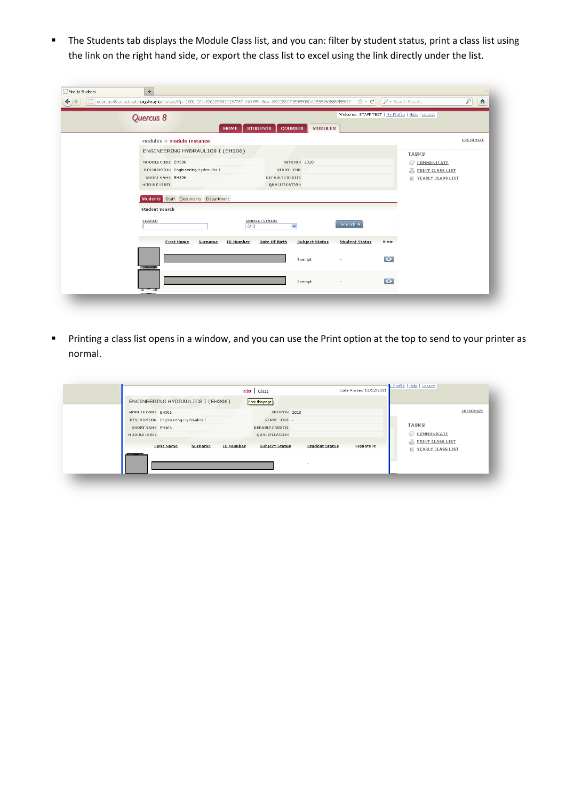The Students tab displays the Module Class list, and you can: filter by student status, print a class list using the link on the right hand side, or export the class list to excel using the link directly under the list.

| quercusv8uat.udsuat.nuigalway.ie/stutest/f?p=1001:104:3262093012137787::NO:RP::8cs=38CC83C71E5EF08DA1E3E486B8B7EB877<br>Quercus 8<br><b>HOME</b>                                                                               | <b>STUDENTS</b><br><b>COURSES</b><br><b>MODULES</b>                                                 | $\uparrow$ + $C$<br>Welcome, STAFF TEST   My Profile   Help   Logout          | $\rho$ + Search Results<br>$\mathcal{P}$<br>合                                                    |
|--------------------------------------------------------------------------------------------------------------------------------------------------------------------------------------------------------------------------------|-----------------------------------------------------------------------------------------------------|-------------------------------------------------------------------------------|--------------------------------------------------------------------------------------------------|
| Modules » Module Instance<br>ENGINEERING HYDRAULICS I (EH306)<br>MODULE CODE EH306<br>DESCRIPTION Engineering Hydraulics I<br>SHORT NAME EH306<br>MODULE LEVEL<br>Students Staff Documents Department<br><b>Student Search</b> | SESSION 2010<br>START - END -<br><b>DEFAULT CREDITS</b><br>QUALIFICATION                            |                                                                               | CUSTOMIZE<br><b>TASKS</b><br>C COMMUNICATE<br>A.<br><b>PRINT CLASS LIST</b><br>YEARLY CLASS LIST |
| SEARCH<br>(A  )<br>ID Number<br><b>First Name</b><br>Surname                                                                                                                                                                   | <b>SUBJECT STATUS</b><br>$\checkmark$<br>Date Of Birth<br><b>Subject Status</b><br>Exempt<br>Exempt | Search ><br><b>Student Status</b><br>View<br>$\bullet$<br>$\bullet$<br>$\sim$ |                                                                                                  |

 Printing a class list opens in a window, and you can use the Print option at the top to send to your printer as normal.

| MODULE CODE EH306<br>SESSION 2010<br>DESCRIPTION Engineering Hydraulics I<br>START - END -<br><b>TASKS</b><br>SHORT NAME EH306<br><b>DEFAULT CREDITS</b><br>a<br>COMMUNICATE<br>MODULE LEVEL<br><b>QUALIFICATION</b><br>昷<br>PRINT CLASS LIST<br><b>ID Number</b><br><b>Subject Status</b><br><b>Student Status</b><br>Signature<br>First Name<br>Surname<br>田<br>YEARLY CLASS LIST | ENGINEERING HYDRAULICS I (EH306) | Print this page |           |
|-------------------------------------------------------------------------------------------------------------------------------------------------------------------------------------------------------------------------------------------------------------------------------------------------------------------------------------------------------------------------------------|----------------------------------|-----------------|-----------|
|                                                                                                                                                                                                                                                                                                                                                                                     |                                  |                 | CUSTOMIZE |
|                                                                                                                                                                                                                                                                                                                                                                                     |                                  |                 |           |
|                                                                                                                                                                                                                                                                                                                                                                                     |                                  |                 |           |
|                                                                                                                                                                                                                                                                                                                                                                                     |                                  |                 |           |
|                                                                                                                                                                                                                                                                                                                                                                                     |                                  |                 |           |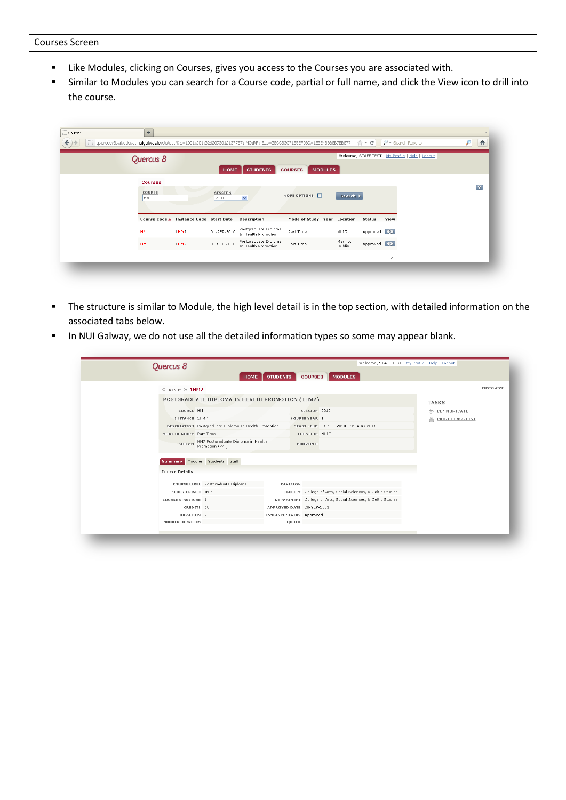- Like Modules, clicking on Courses, gives you access to the Courses you are associated with.
- Similar to Modules you can search for a Course code, partial or full name, and click the View icon to drill into the course.

| $\Box$ Courses<br>O.<br>← | $\!+\!$<br>quercusv8uat.udsuat.nuigalway.ie/stutest/f?p=1001:201:3262093012137787::NO:RP::&cs=38CC83C71E5EF08DA1E3E486B8B7EB877 |                                        |                 |                                             |                             |                |                          | $\mathbb{C}$ + $\mathbb{C}$ |         | $\rho$ + Search Results                          | 合<br>$\mathcal{P}$      |
|---------------------------|---------------------------------------------------------------------------------------------------------------------------------|----------------------------------------|-----------------|---------------------------------------------|-----------------------------|----------------|--------------------------|-----------------------------|---------|--------------------------------------------------|-------------------------|
|                           | Quercus 8                                                                                                                       |                                        | <b>HOME</b>     | <b>STUDENTS</b>                             | <b>COURSES</b>              | <b>MODULES</b> |                          |                             |         | Welcome, STAFF TEST   My Profile   Help   Logout |                         |
|                           | <b>Courses</b><br>COURSE<br>H <sub>M</sub>                                                                                      |                                        | SESSION<br>2010 | $\checkmark$                                | MORE OPTIONS $\Box$         |                | Search >                 |                             |         |                                                  | $\overline{\mathbf{r}}$ |
|                           |                                                                                                                                 | Course Code ▲ Instance Code Start Date |                 | <b>Description</b>                          | Mode of Study Year Location |                |                          | <b>Status</b>               | View    |                                                  |                         |
|                           | <b>HM</b>                                                                                                                       | 1HM7                                   | 01-SEP-2010     | Postgraduate Diploma<br>In Health Promotion | Part Time                   | 1              | <b>NUIG</b>              | Approved <b>O</b>           |         |                                                  |                         |
|                           | <b>HM</b>                                                                                                                       | 1HM9                                   | 01-SEP-2010     | Postgraduate Diploma<br>In Health Promotion | Part Time                   |                | Marino.<br><b>Dublin</b> | Approved O                  |         |                                                  |                         |
|                           |                                                                                                                                 |                                        |                 |                                             |                             |                |                          |                             | $1 - 2$ |                                                  |                         |

- The structure is similar to Module, the high level detail is in the top section, with detailed information on the associated tabs below.
- In NUI Galway, we do not use all the detailed information types so some may appear blank.

|                           | <b>HOME</b>                                           |                                                       |                                                               |                              |
|---------------------------|-------------------------------------------------------|-------------------------------------------------------|---------------------------------------------------------------|------------------------------|
| Courses » 1HM7            |                                                       |                                                       |                                                               |                              |
|                           | POSTGRADUATE DIPLOMA IN HEALTH PROMOTION (1HM7)       |                                                       |                                                               | <b>TASKS</b>                 |
| COURSE HM                 |                                                       |                                                       | SESSION 2010                                                  | COMMUNICATE<br>a             |
| INSTANCE 1HM7             |                                                       |                                                       | COURSE YEAR 1                                                 | 具<br><b>PRINT CLASS LIST</b> |
|                           | DESCRIPTION Postgraduate Diploma In Health Promotion  |                                                       | START - END 01-SEP-2010 - 31-AUG-2011                         |                              |
| MODE OF STUDY Part Time   |                                                       |                                                       | LOCATION NUIG                                                 |                              |
| STREAM                    | HM7 Postgraduate Diploma in Health<br>Promotion (P/T) |                                                       | PROVIDER                                                      |                              |
| <b>Course Details</b>     |                                                       |                                                       |                                                               |                              |
|                           |                                                       |                                                       |                                                               |                              |
|                           | COURSE LEVEL Postgraduate Diploma                     | <b>DIVISION</b>                                       |                                                               |                              |
| SEMESTERISED True         |                                                       |                                                       | FACULTY College of Arts, Social Sciences, & Celtic Studies    |                              |
| <b>COURSE STRUCTURE 1</b> |                                                       |                                                       | DEPARTMENT College of Arts, Social Sciences, & Celtic Studies |                              |
| DURATION <sub>2</sub>     | CREDITS 60                                            | APPROVED DATE 20-SEP-2001<br>INSTANCE STATUS Approved |                                                               |                              |